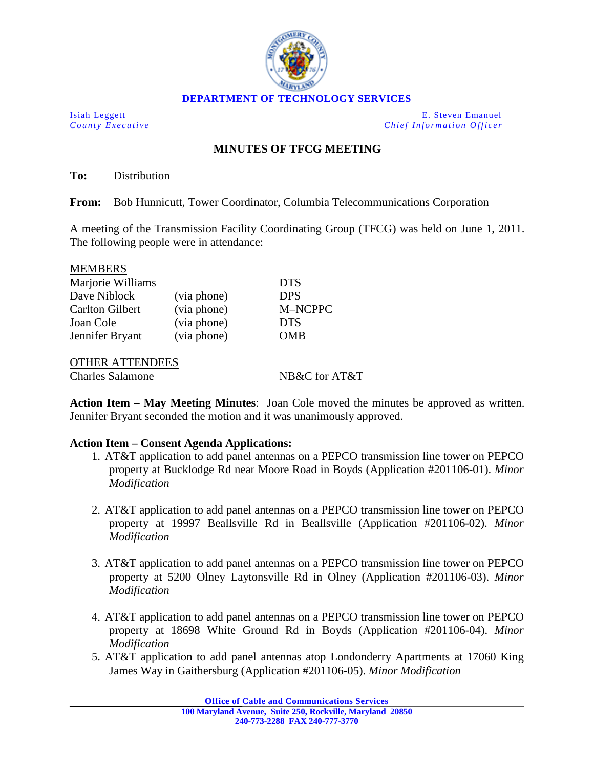

Isiah Leggett E. Steven Emanuel *County Executive Chief Information Officer*

## **MINUTES OF TFCG MEETING**

**To:** Distribution

**From:** Bob Hunnicutt, Tower Coordinator, Columbia Telecommunications Corporation

A meeting of the Transmission Facility Coordinating Group (TFCG) was held on June 1, 2011. The following people were in attendance:

| <b>MEMBERS</b>         |             |            |
|------------------------|-------------|------------|
| Marjorie Williams      |             | <b>DTS</b> |
| Dave Niblock           | (via phone) | <b>DPS</b> |
| <b>Carlton Gilbert</b> | (via phone) | M-NCPPC    |
| Joan Cole              | (via phone) | <b>DTS</b> |
| Jennifer Bryant        | (via phone) | OMB        |
|                        |             |            |

OTHER ATTENDEES

 $\overline{\mathbf{m}}$ 

Charles Salamone NB&C for AT&T

**Action Item – May Meeting Minutes**: Joan Cole moved the minutes be approved as written. Jennifer Bryant seconded the motion and it was unanimously approved.

## **Action Item – Consent Agenda Applications:**

- 1. AT&T application to add panel antennas on a PEPCO transmission line tower on PEPCO property at Bucklodge Rd near Moore Road in Boyds (Application #201106-01). *Minor Modification*
- 2. AT&T application to add panel antennas on a PEPCO transmission line tower on PEPCO property at 19997 Beallsville Rd in Beallsville (Application #201106-02). *Minor Modification*
- 3. AT&T application to add panel antennas on a PEPCO transmission line tower on PEPCO property at 5200 Olney Laytonsville Rd in Olney (Application #201106-03). *Minor Modification*
- 4. AT&T application to add panel antennas on a PEPCO transmission line tower on PEPCO property at 18698 White Ground Rd in Boyds (Application #201106-04). *Minor Modification*
- 5. AT&T application to add panel antennas atop Londonderry Apartments at 17060 King James Way in Gaithersburg (Application #201106-05). *Minor Modification*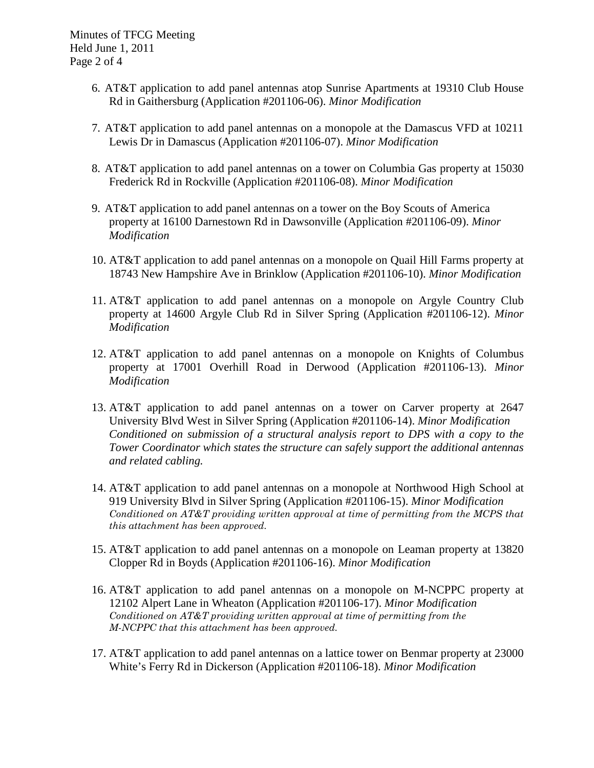- 6. AT&T application to add panel antennas atop Sunrise Apartments at 19310 Club House Rd in Gaithersburg (Application #201106-06). *Minor Modification*
- 7. AT&T application to add panel antennas on a monopole at the Damascus VFD at 10211 Lewis Dr in Damascus (Application #201106-07). *Minor Modification*
- 8. AT&T application to add panel antennas on a tower on Columbia Gas property at 15030 Frederick Rd in Rockville (Application #201106-08). *Minor Modification*
- 9. AT&T application to add panel antennas on a tower on the Boy Scouts of America property at 16100 Darnestown Rd in Dawsonville (Application #201106-09). *Minor Modification*
- 10. AT&T application to add panel antennas on a monopole on Quail Hill Farms property at 18743 New Hampshire Ave in Brinklow (Application #201106-10). *Minor Modification*
- 11. AT&T application to add panel antennas on a monopole on Argyle Country Club property at 14600 Argyle Club Rd in Silver Spring (Application #201106-12). *Minor Modification*
- 12. AT&T application to add panel antennas on a monopole on Knights of Columbus property at 17001 Overhill Road in Derwood (Application #201106-13). *Minor Modification*
- 13. AT&T application to add panel antennas on a tower on Carver property at 2647 University Blvd West in Silver Spring (Application #201106-14). *Minor Modification Conditioned on submission of a structural analysis report to DPS with a copy to the Tower Coordinator which states the structure can safely support the additional antennas and related cabling.*
- 14. AT&T application to add panel antennas on a monopole at Northwood High School at 919 University Blvd in Silver Spring (Application #201106-15). *Minor Modification Conditioned on AT&T providing written approval at time of permitting from the MCPS that this attachment has been approved.*
- 15. AT&T application to add panel antennas on a monopole on Leaman property at 13820 Clopper Rd in Boyds (Application #201106-16). *Minor Modification*
- 16. AT&T application to add panel antennas on a monopole on M-NCPPC property at 12102 Alpert Lane in Wheaton (Application #201106-17). *Minor Modification Conditioned on AT&T providing written approval at time of permitting from the M-NCPPC that this attachment has been approved.*
- 17. AT&T application to add panel antennas on a lattice tower on Benmar property at 23000 White's Ferry Rd in Dickerson (Application #201106-18). *Minor Modification*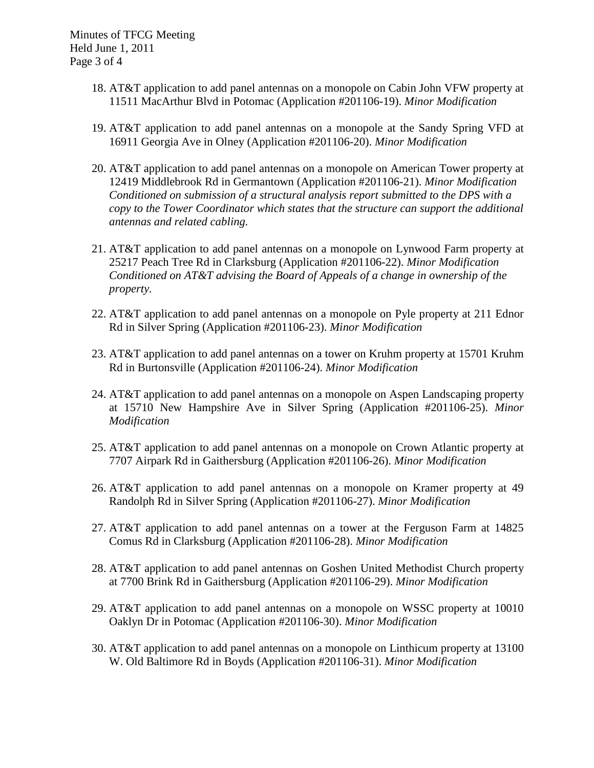Minutes of TFCG Meeting Held June 1, 2011 Page 3 of 4

- 18. AT&T application to add panel antennas on a monopole on Cabin John VFW property at 11511 MacArthur Blvd in Potomac (Application #201106-19). *Minor Modification*
- 19. AT&T application to add panel antennas on a monopole at the Sandy Spring VFD at 16911 Georgia Ave in Olney (Application #201106-20). *Minor Modification*
- 20. AT&T application to add panel antennas on a monopole on American Tower property at 12419 Middlebrook Rd in Germantown (Application #201106-21). *Minor Modification Conditioned on submission of a structural analysis report submitted to the DPS with a copy to the Tower Coordinator which states that the structure can support the additional antennas and related cabling.*
- 21. AT&T application to add panel antennas on a monopole on Lynwood Farm property at 25217 Peach Tree Rd in Clarksburg (Application #201106-22). *Minor Modification Conditioned on AT&T advising the Board of Appeals of a change in ownership of the property.*
- 22. AT&T application to add panel antennas on a monopole on Pyle property at 211 Ednor Rd in Silver Spring (Application #201106-23). *Minor Modification*
- 23. AT&T application to add panel antennas on a tower on Kruhm property at 15701 Kruhm Rd in Burtonsville (Application #201106-24). *Minor Modification*
- 24. AT&T application to add panel antennas on a monopole on Aspen Landscaping property at 15710 New Hampshire Ave in Silver Spring (Application #201106-25). *Minor Modification*
- 25. AT&T application to add panel antennas on a monopole on Crown Atlantic property at 7707 Airpark Rd in Gaithersburg (Application #201106-26). *Minor Modification*
- 26. AT&T application to add panel antennas on a monopole on Kramer property at 49 Randolph Rd in Silver Spring (Application #201106-27). *Minor Modification*
- 27. AT&T application to add panel antennas on a tower at the Ferguson Farm at 14825 Comus Rd in Clarksburg (Application #201106-28). *Minor Modification*
- 28. AT&T application to add panel antennas on Goshen United Methodist Church property at 7700 Brink Rd in Gaithersburg (Application #201106-29). *Minor Modification*
- 29. AT&T application to add panel antennas on a monopole on WSSC property at 10010 Oaklyn Dr in Potomac (Application #201106-30). *Minor Modification*
- 30. AT&T application to add panel antennas on a monopole on Linthicum property at 13100 W. Old Baltimore Rd in Boyds (Application #201106-31). *Minor Modification*